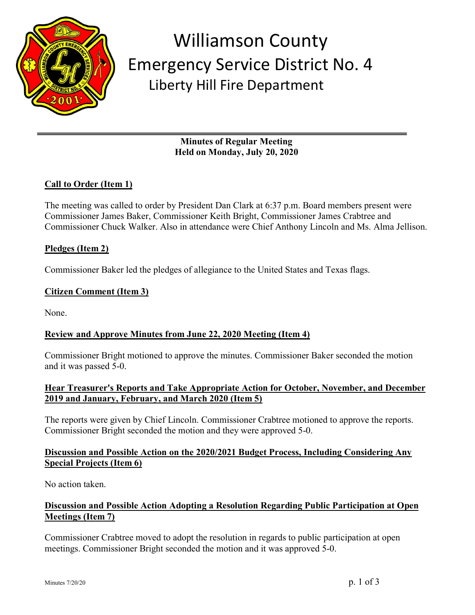

## Williamson County Emergency Service District No. 4 Liberty Hill Fire Department

**Minutes of Regular Meeting Held on Monday, July 20, 2020**

## **Call to Order (Item 1)**

The meeting was called to order by President Dan Clark at 6:37 p.m. Board members present were Commissioner James Baker, Commissioner Keith Bright, Commissioner James Crabtree and Commissioner Chuck Walker. Also in attendance were Chief Anthony Lincoln and Ms. Alma Jellison.

#### **Pledges (Item 2)**

Commissioner Baker led the pledges of allegiance to the United States and Texas flags.

#### **Citizen Comment (Item 3)**

None.

#### **Review and Approve Minutes from June 22, 2020 Meeting (Item 4)**

Commissioner Bright motioned to approve the minutes. Commissioner Baker seconded the motion and it was passed 5-0.

#### **Hear Treasurer's Reports and Take Appropriate Action for October, November, and December 2019 and January, February, and March 2020 (Item 5)**

The reports were given by Chief Lincoln. Commissioner Crabtree motioned to approve the reports. Commissioner Bright seconded the motion and they were approved 5-0.

#### **Discussion and Possible Action on the 2020/2021 Budget Process, Including Considering Any Special Projects (Item 6)**

No action taken.

## **Discussion and Possible Action Adopting a Resolution Regarding Public Participation at Open Meetings (Item 7)**

Commissioner Crabtree moved to adopt the resolution in regards to public participation at open meetings. Commissioner Bright seconded the motion and it was approved 5-0.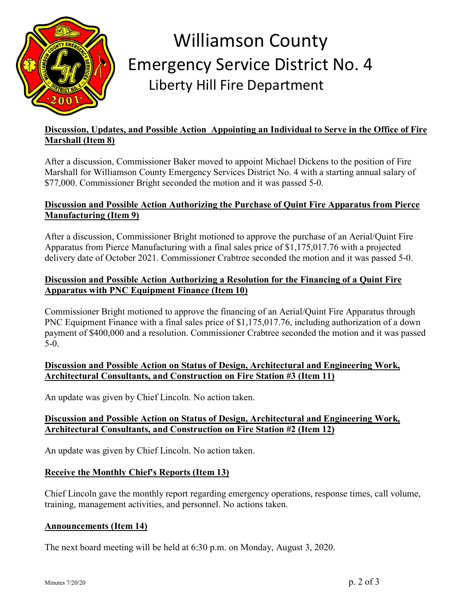

# Williamson County Emergency Service District No. 4 Liberty Hill Fire Department

## **Discussion, Updates, and Possible Action Appointing an Individual to Serve in the Office of Fire Marshall (Item 8)**

After a discussion, Commissioner Baker moved to appoint Michael Dickens to the position of Fire Marshall for Williamson County Emergency Services District No. 4 with a starting annual salary of \$77,000. Commissioner Bright seconded the motion and it was passed 5-0.

## **Discussion and Possible Action Authorizing the Purchase of Quint Fire Apparatus from Pierce Manufacturing (Item 9)**

After a discussion, Commissioner Bright motioned to approve the purchase of an Aerial/Quint Fire Apparatus from Pierce Manufacturing with a final sales price of \$1,175,017.76 with a projected delivery date of October 2021. Commissioner Crabtree seconded the motion and it was passed 5-0.

### **Discussion and Possible Action Authorizing a Resolution for the Financing of a Quint Fire Apparatus with PNC Equipment Finance (Item 10)**

Commissioner Bright motioned to approve the financing of an Aerial/Quint Fire Apparatus through PNC Equipment Finance with a final sales price of \$1,175,017.76, including authorization of a down payment of \$400,000 and a resolution. Commissioner Crabtree seconded the motion and it was passed 5-0.

## **Discussion and Possible Action on Status of Design, Architectural and Engineering Work, Architectural Consultants, and Construction on Fire Station #3 (Item 11)**

An update was given by Chief Lincoln. No action taken.

## **Discussion and Possible Action on Status of Design, Architectural and Engineering Work, Architectural Consultants, and Construction on Fire Station #2 (Item 12)**

An update was given by Chief Lincoln. No action taken.

## **Receive the Monthly Chief's Reports (Item 13)**

Chief Lincoln gave the monthly report regarding emergency operations, response times, call volume, training, management activities, and personnel. No actions taken.

#### **Announcements (Item 14)**

The next board meeting will be held at 6:30 p.m. on Monday, August 3, 2020.